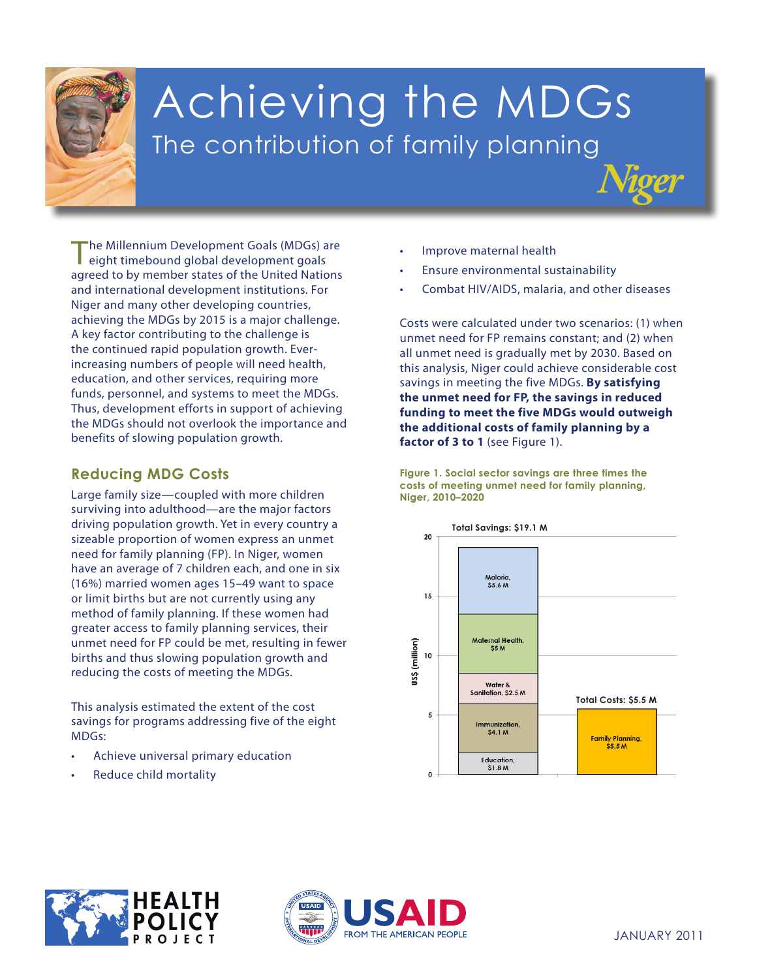

# Achieving the MDGs The contribution of family planning

The Millennium Development Goals (MDGs) are eight timebound global development goals agreed to by member states of the United Nations and international development institutions. For Niger and many other developing countries, achieving the MDGs by 2015 is a major challenge. A key factor contributing to the challenge is the continued rapid population growth. Everincreasing numbers of people will need health, education, and other services, requiring more funds, personnel, and systems to meet the MDGs. Thus, development efforts in support of achieving the MDGs should not overlook the importance and benefits of slowing population growth.

## **Reducing MDG Costs**

reducing the costs of meeting the MDGs. Large family size—coupled with more children surviving into adulthood—are the major factors driving population growth. Yet in every country a sizeable proportion of women express an unmet need for family planning (FP). In Niger, women have an average of 7 children each, and one in six (16%) married women ages 15–49 want to space or limit births but are not currently using any method of family planning. If these women had greater access to family planning services, their unmet need for FP could be met, resulting in fewer births and thus slowing population growth and

**This analysis estimated the extent of the cost** savings for programs addressing five of the eight **3. Promote gender** MDGs: **equality andempower**

- **women** • Achieve universal primary education
- **4. Reduce child mortality** Reduce child mortality
- Improve maternal health
- Ensure environmental sustainability
- Combat HIV/AIDS, malaria, and other diseases

*Niger*

Costs were calculated under two scenarios: (1) when unmet need for FP remains constant; and (2) when all unmet need is gradually met by 2030. Based on this analysis, Niger could achieve considerable cost savings in meeting the five MDGs. **By satisfying the unmet need for FP, the savings in reduced funding to meet the five MDGs would outweigh the additional costs of family planning by a**  factor of 3 to 1 (see Figure 1).

**Figure 1. Social sector savings are three times the costs of meeting unmet need for family planning, Niger, 2010–2020**